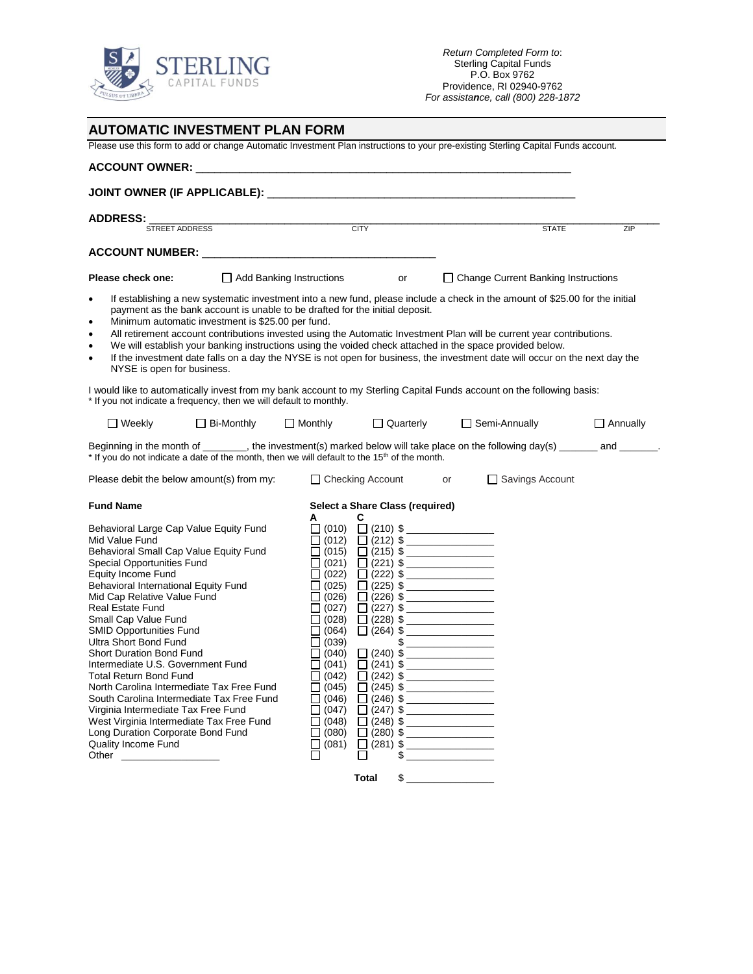

| <b>AUTOMATIC INVESTMENT PLAN FORM</b>                                                                                                                                                                                                                                                                                                                                                                                                                                                                                                                                                                                                                                                                            |                   |                                                                                                                                                                                                                        |                      |                       |                                                                                                                                                                                                                                                                                                                                                                                                                                                                                                                                                                                                                                                                                                                               |                                            |                 |
|------------------------------------------------------------------------------------------------------------------------------------------------------------------------------------------------------------------------------------------------------------------------------------------------------------------------------------------------------------------------------------------------------------------------------------------------------------------------------------------------------------------------------------------------------------------------------------------------------------------------------------------------------------------------------------------------------------------|-------------------|------------------------------------------------------------------------------------------------------------------------------------------------------------------------------------------------------------------------|----------------------|-----------------------|-------------------------------------------------------------------------------------------------------------------------------------------------------------------------------------------------------------------------------------------------------------------------------------------------------------------------------------------------------------------------------------------------------------------------------------------------------------------------------------------------------------------------------------------------------------------------------------------------------------------------------------------------------------------------------------------------------------------------------|--------------------------------------------|-----------------|
| Please use this form to add or change Automatic Investment Plan instructions to your pre-existing Sterling Capital Funds account.                                                                                                                                                                                                                                                                                                                                                                                                                                                                                                                                                                                |                   |                                                                                                                                                                                                                        |                      |                       |                                                                                                                                                                                                                                                                                                                                                                                                                                                                                                                                                                                                                                                                                                                               |                                            |                 |
|                                                                                                                                                                                                                                                                                                                                                                                                                                                                                                                                                                                                                                                                                                                  |                   |                                                                                                                                                                                                                        |                      |                       |                                                                                                                                                                                                                                                                                                                                                                                                                                                                                                                                                                                                                                                                                                                               |                                            |                 |
|                                                                                                                                                                                                                                                                                                                                                                                                                                                                                                                                                                                                                                                                                                                  |                   |                                                                                                                                                                                                                        |                      |                       |                                                                                                                                                                                                                                                                                                                                                                                                                                                                                                                                                                                                                                                                                                                               |                                            |                 |
| <b>ADDRESS:</b><br>STREET ADDRESS<br><b>CITY</b>                                                                                                                                                                                                                                                                                                                                                                                                                                                                                                                                                                                                                                                                 |                   |                                                                                                                                                                                                                        |                      |                       |                                                                                                                                                                                                                                                                                                                                                                                                                                                                                                                                                                                                                                                                                                                               |                                            |                 |
|                                                                                                                                                                                                                                                                                                                                                                                                                                                                                                                                                                                                                                                                                                                  |                   |                                                                                                                                                                                                                        |                      |                       |                                                                                                                                                                                                                                                                                                                                                                                                                                                                                                                                                                                                                                                                                                                               | <b>STATE</b>                               | ZIP             |
|                                                                                                                                                                                                                                                                                                                                                                                                                                                                                                                                                                                                                                                                                                                  |                   |                                                                                                                                                                                                                        |                      |                       |                                                                                                                                                                                                                                                                                                                                                                                                                                                                                                                                                                                                                                                                                                                               |                                            |                 |
| Please check one:<br>$\Box$ Add Banking Instructions                                                                                                                                                                                                                                                                                                                                                                                                                                                                                                                                                                                                                                                             |                   |                                                                                                                                                                                                                        |                      | or                    |                                                                                                                                                                                                                                                                                                                                                                                                                                                                                                                                                                                                                                                                                                                               | $\Box$ Change Current Banking Instructions |                 |
| If establishing a new systematic investment into a new fund, please include a check in the amount of \$25.00 for the initial<br>٠<br>payment as the bank account is unable to be drafted for the initial deposit.<br>Minimum automatic investment is \$25.00 per fund.<br>٠<br>All retirement account contributions invested using the Automatic Investment Plan will be current year contributions.<br>٠<br>We will establish your banking instructions using the voided check attached in the space provided below.<br>$\bullet$<br>If the investment date falls on a day the NYSE is not open for business, the investment date will occur on the next day the<br>٠<br>NYSE is open for business.             |                   |                                                                                                                                                                                                                        |                      |                       |                                                                                                                                                                                                                                                                                                                                                                                                                                                                                                                                                                                                                                                                                                                               |                                            |                 |
| I would like to automatically invest from my bank account to my Sterling Capital Funds account on the following basis:<br>* If you not indicate a frequency, then we will default to monthly.                                                                                                                                                                                                                                                                                                                                                                                                                                                                                                                    |                   |                                                                                                                                                                                                                        |                      |                       |                                                                                                                                                                                                                                                                                                                                                                                                                                                                                                                                                                                                                                                                                                                               |                                            |                 |
| $\sqcup$ Weekly                                                                                                                                                                                                                                                                                                                                                                                                                                                                                                                                                                                                                                                                                                  | $\Box$ Bi-Monthly | $\Box$ Monthly                                                                                                                                                                                                         |                      | Quarterly             |                                                                                                                                                                                                                                                                                                                                                                                                                                                                                                                                                                                                                                                                                                                               | Semi-Annually                              | $\Box$ Annually |
| Beginning in the month of ______, the investment(s) marked below will take place on the following day(s) ______ and ______.<br>* If you do not indicate a date of the month, then we will default to the 15 <sup>th</sup> of the month.                                                                                                                                                                                                                                                                                                                                                                                                                                                                          |                   |                                                                                                                                                                                                                        |                      |                       |                                                                                                                                                                                                                                                                                                                                                                                                                                                                                                                                                                                                                                                                                                                               |                                            |                 |
| Please debit the below amount(s) from my:                                                                                                                                                                                                                                                                                                                                                                                                                                                                                                                                                                                                                                                                        |                   |                                                                                                                                                                                                                        |                      | □ Checking Account or |                                                                                                                                                                                                                                                                                                                                                                                                                                                                                                                                                                                                                                                                                                                               | Savings Account                            |                 |
| <b>Fund Name</b>                                                                                                                                                                                                                                                                                                                                                                                                                                                                                                                                                                                                                                                                                                 |                   | Select a Share Class (required)                                                                                                                                                                                        |                      |                       |                                                                                                                                                                                                                                                                                                                                                                                                                                                                                                                                                                                                                                                                                                                               |                                            |                 |
| Behavioral Large Cap Value Equity Fund<br>Mid Value Fund<br>Behavioral Small Cap Value Equity Fund<br>Special Opportunities Fund<br><b>Equity Income Fund</b><br>Behavioral International Equity Fund<br>Mid Cap Relative Value Fund<br><b>Real Estate Fund</b><br>Small Cap Value Fund<br><b>SMID Opportunities Fund</b><br><b>Ultra Short Bond Fund</b><br>Short Duration Bond Fund<br>Intermediate U.S. Government Fund<br>Total Return Bond Fund<br>North Carolina Intermediate Tax Free Fund<br>South Carolina Intermediate Tax Free Fund<br>Virginia Intermediate Tax Free Fund<br>West Virginia Intermediate Tax Free Fund<br>Long Duration Corporate Bond Fund<br>Quality Income Fund<br>Other _________ |                   | А<br>$\Box$ (012)<br>$\Box$ (021)<br>$\Box$ (022)<br>$\Box$ (025)<br>$\Box$ (026)<br>$\Box$ (027)<br>∐ (028)<br>(064)<br>(039)<br>(040)<br>(041)<br>l 1<br>(042)<br>(045)<br>(046)<br>(047)<br>(048)<br>(080)<br>(081) | C<br>$\Box$ (241) \$ | \$                    | $\Box$ (010) $\Box$ (210) \$<br>$\Box$ (212) \$<br>$\Box$ (015) $\Box$ (215) \$<br>$\Box$ (221) \$<br>$\Box$ (222) \$<br>$\Box$ (225) \$<br>$\Box$ (226) \$<br>$\Box$ (227) \$<br>$\Box$ (228) \$<br>$\Box$ (264) \$<br>$\begin{picture}(20,20) \put(0,0){\line(1,0){100}} \put(15,0){\line(1,0){100}} \put(15,0){\line(1,0){100}} \put(15,0){\line(1,0){100}} \put(15,0){\line(1,0){100}} \put(15,0){\line(1,0){100}} \put(15,0){\line(1,0){100}} \put(15,0){\line(1,0){100}} \put(15,0){\line(1,0){100}} \put(15,0){\line(1,0){100}} \put(15,0){\line(1,0){100}} \$<br>$\Box$ (240) \$<br>$\Box$ (242) \$<br>$\Box$ (245) \$<br>$\Box$ (246) \$<br>$\Box$ (247) \$<br>$\Box$ (248) \$<br>$\Box$ (280) \$<br>$\Box$ (281) \$ |                                            |                 |
|                                                                                                                                                                                                                                                                                                                                                                                                                                                                                                                                                                                                                                                                                                                  |                   |                                                                                                                                                                                                                        | Total                | \$                    |                                                                                                                                                                                                                                                                                                                                                                                                                                                                                                                                                                                                                                                                                                                               |                                            |                 |